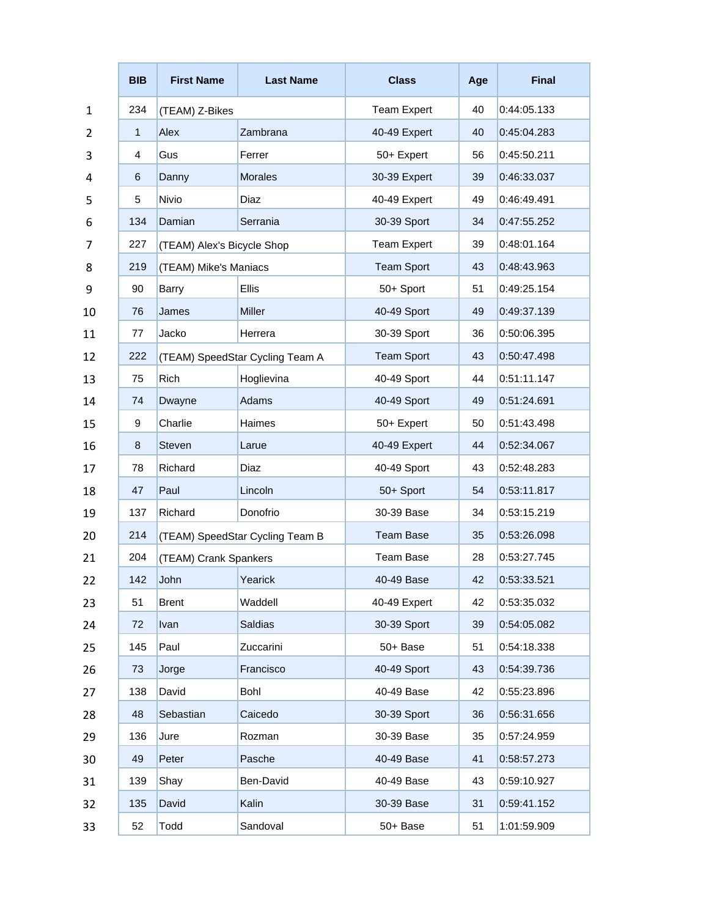|                | <b>BIB</b>   | <b>First Name</b>               | <b>Last Name</b> | <b>Class</b>       | Age | <b>Final</b> |
|----------------|--------------|---------------------------------|------------------|--------------------|-----|--------------|
| $\mathbf{1}$   | 234          | (TEAM) Z-Bikes                  |                  | <b>Team Expert</b> | 40  | 0:44:05.133  |
| $\overline{2}$ | $\mathbf{1}$ | Alex                            | Zambrana         | 40-49 Expert       | 40  | 0:45:04.283  |
| 3              | 4            | Gus                             | Ferrer           | 50+ Expert         | 56  | 0:45:50.211  |
| 4              | 6            | Danny                           | <b>Morales</b>   | 30-39 Expert       | 39  | 0:46:33.037  |
| 5              | 5            | Nivio                           | Diaz             | 40-49 Expert       | 49  | 0:46:49.491  |
| 6              | 134          | Damian                          | Serrania         | 30-39 Sport        | 34  | 0:47:55.252  |
| 7              | 227          | (TEAM) Alex's Bicycle Shop      |                  | <b>Team Expert</b> | 39  | 0:48:01.164  |
| 8              | 219          | (TEAM) Mike's Maniacs           |                  | <b>Team Sport</b>  | 43  | 0:48:43.963  |
| 9              | 90           | Barry                           | <b>Ellis</b>     | 50+ Sport          | 51  | 0:49:25.154  |
| 10             | 76           | James                           | Miller           | 40-49 Sport        | 49  | 0:49:37.139  |
| 11             | 77           | Jacko                           | Herrera          | 30-39 Sport        | 36  | 0:50:06.395  |
| 12             | 222          | (TEAM) SpeedStar Cycling Team A |                  | <b>Team Sport</b>  | 43  | 0:50:47.498  |
| 13             | 75           | Rich                            | Hoglievina       | 40-49 Sport        | 44  | 0:51:11.147  |
| 14             | 74           | Dwayne                          | Adams            | 40-49 Sport        | 49  | 0:51:24.691  |
| 15             | 9            | Charlie                         | Haimes           | 50+ Expert         | 50  | 0:51:43.498  |
| 16             | 8            | <b>Steven</b>                   | Larue            | 40-49 Expert       | 44  | 0:52:34.067  |
| 17             | 78           | Richard                         | <b>Diaz</b>      | 40-49 Sport        | 43  | 0:52:48.283  |
| 18             | 47           | Paul                            | Lincoln          | 50+ Sport          | 54  | 0:53:11.817  |
| 19             | 137          | Richard                         | Donofrio         | 30-39 Base         | 34  | 0:53:15.219  |
| 20             | 214          | (TEAM) SpeedStar Cycling Team B |                  | <b>Team Base</b>   | 35  | 0:53:26.098  |
| 21             | 204          | (TEAM) Crank Spankers           |                  | <b>Team Base</b>   | 28  | 0:53:27.745  |
| 22             | 142          | John                            | Yearick          | 40-49 Base         | 42  | 0:53:33.521  |
| 23             | 51           | Brent                           | Waddell          | 40-49 Expert       | 42  | 0:53:35.032  |
| 24             | 72           | Ivan                            | <b>Saldias</b>   | 30-39 Sport        | 39  | 0:54:05.082  |
| 25             | 145          | Paul                            | Zuccarini        | 50+ Base           | 51  | 0:54:18.338  |
| 26             | 73           | Jorge                           | Francisco        | 40-49 Sport        | 43  | 0:54:39.736  |
| 27             | 138          | David                           | Bohl             | 40-49 Base         | 42  | 0:55:23.896  |
| 28             | 48           | Sebastian                       | Caicedo          | 30-39 Sport        | 36  | 0:56:31.656  |
| 29             | 136          | Jure                            | Rozman           | 30-39 Base         | 35  | 0:57:24.959  |
| 30             | 49           | Peter                           | Pasche           | 40-49 Base         | 41  | 0:58:57.273  |
| 31             | 139          | Shay                            | Ben-David        | 40-49 Base         | 43  | 0:59:10.927  |
| 32             | 135          | David                           | Kalin            | 30-39 Base         | 31  | 0:59:41.152  |
| 33             | 52           | Todd                            | Sandoval         | 50+ Base           | 51  | 1:01:59.909  |